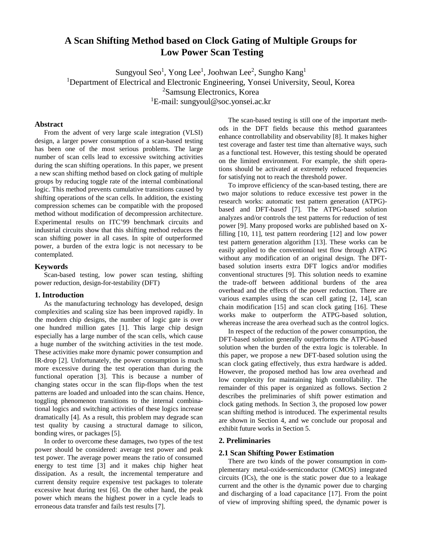# **A Scan Shifting Method based on Clock Gating of Multiple Groups for Low Power Scan Testing**

Sungyoul Seo<sup>1</sup>, Yong Lee<sup>1</sup>, Joohwan Lee<sup>2</sup>, Sungho Kang<sup>1</sup> <sup>1</sup>Department of Electrical and Electronic Engineering, Yonsei University, Seoul, Korea <sup>2</sup>Samsung Electronics, Korea <sup>1</sup>E-mail: sungyoul@soc.yonsei.ac.kr

### **Abstract**

From the advent of very large scale integration (VLSI) design, a larger power consumption of a scan-based testing has been one of the most serious problems. The large number of scan cells lead to excessive switching activities during the scan shifting operations. In this paper, we present a new scan shifting method based on clock gating of multiple groups by reducing toggle rate of the internal combinational logic. This method prevents cumulative transitions caused by shifting operations of the scan cells. In addition, the existing compression schemes can be compatible with the proposed method without modification of decompression architecture. Experimental results on ITC'99 benchmark circuits and industrial circuits show that this shifting method reduces the scan shifting power in all cases. In spite of outperformed power, a burden of the extra logic is not necessary to be contemplated.

### **Keywords**

Scan-based testing, low power scan testing, shifting power reduction, design-for-testability (DFT)

### **1. Introduction**

As the manufacturing technology has developed, design complexities and scaling size has been improved rapidly. In the modern chip designs, the number of logic gate is over one hundred million gates [1]. This large chip design especially has a large number of the scan cells, which cause a huge number of the switching activities in the test mode. These activities make more dynamic power consumption and IR-drop [2]. Unfortunately, the power consumption is much more excessive during the test operation than during the functional operation [3]. This is because a number of changing states occur in the scan flip-flops when the test patterns are loaded and unloaded into the scan chains. Hence, toggling phenomenon transitions to the internal combinational logics and switching activities of these logics increase dramatically [4]. As a result, this problem may degrade scan test quality by causing a structural damage to silicon, bonding wires, or packages [5].

In order to overcome these damages, two types of the test power should be considered: average test power and peak test power. The average power means the ratio of consumed energy to test time [3] and it makes chip higher heat dissipation. As a result, the incremental temperature and current density require expensive test packages to tolerate excessive heat during test [6]. On the other hand, the peak power which means the highest power in a cycle leads to erroneous data transfer and fails test results [7].

The scan-based testing is still one of the important methods in the DFT fields because this method guarantees enhance controllability and observability [8]. It makes higher test coverage and faster test time than alternative ways, such as a functional test. However, this testing should be operated on the limited environment. For example, the shift operations should be activated at extremely reduced frequencies for satisfying not to reach the threshold power.

To improve efficiency of the scan-based testing, there are two major solutions to reduce excessive test power in the research works: automatic test pattern generation (ATPG) based and DFT-based [7]. The ATPG-based solution analyzes and/or controls the test patterns for reduction of test power [9]. Many proposed works are published based on Xfilling [10, 11], test pattern reordering [12] and low power test pattern generation algorithm [13]. These works can be easily applied to the conventional test flow through ATPG without any modification of an original design. The DFTbased solution inserts extra DFT logics and/or modifies conventional structures [9]. This solution needs to examine the trade-off between additional burdens of the area overhead and the effects of the power reduction. There are various examples using the scan cell gating [2, 14], scan chain modification [15] and scan clock gating [16]. These works make to outperform the ATPG-based solution, whereas increase the area overhead such as the control logics.

In respect of the reduction of the power consumption, the DFT-based solution generally outperforms the ATPG-based solution when the burden of the extra logic is tolerable. In this paper, we propose a new DFT-based solution using the scan clock gating effectively, thus extra hardware is added. However, the proposed method has low area overhead and low complexity for maintaining high controllability. The remainder of this paper is organized as follows. Section 2 describes the preliminaries of shift power estimation and clock gating methods. In Section 3, the proposed low power scan shifting method is introduced. The experimental results are shown in Section 4, and we conclude our proposal and exhibit future works in Section 5.

### **2. Preliminaries**

#### **2.1 Scan Shifting Power Estimation**

There are two kinds of the power consumption in complementary metal-oxide-semiconductor (CMOS) integrated circuits (ICs), the one is the static power due to a leakage current and the other is the dynamic power due to charging and discharging of a load capacitance [17]. From the point of view of improving shifting speed, the dynamic power is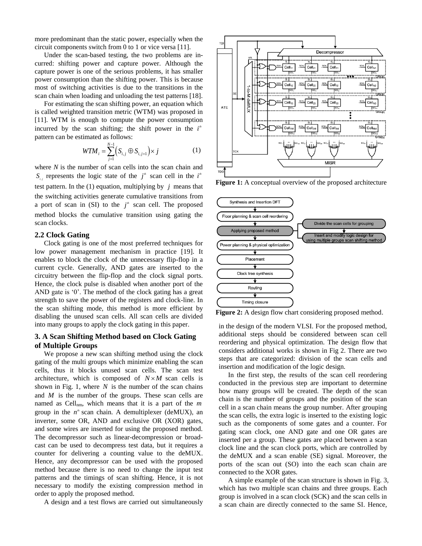more predominant than the static power, especially when the circuit components switch from 0 to 1 or vice versa [11].

Under the scan-based testing, the two problems are incurred: shifting power and capture power. Although the capture power is one of the serious problems, it has smaller power consumption than the shifting power. This is because most of switching activities is due to the transitions in the scan chain when loading and unloading the test patterns [18].

For estimating the scan shifting power, an equation which is called weighted transition metric (WTM) was proposed in [11]. WTM is enough to compute the power consumption incurred by the scan shifting; the shift power in the  $i^h$ pattern can be estimated as follows:

$$
WTM_{i} = \sum_{j=1}^{N-1} (S_{i,j} \oplus S_{i,j+1}) \times j \tag{1}
$$

where *N* is the number of scan cells into the scan chain and  $S_{i,j}$  represents the logic state of the  $j^{\#}$  scan cell in the  $i^{\#}$ test pattern. In the  $(1)$  equation, multiplying by  $j$  means that the switching activities generate cumulative transitions from a port of scan in  $(SI)$  to the  $j^*$  scan cell. The proposed method blocks the cumulative transition using gating the scan clocks.

## **2.2 Clock Gating**

Clock gating is one of the most preferred techniques for low power management mechanism in practice [19]. It enables to block the clock of the unnecessary flip-flop in a current cycle. Generally, AND gates are inserted to the circuitry between the flip-flop and the clock signal ports. Hence, the clock pulse is disabled when another port of the AND gate is '0'. The method of the clock gating has a great strength to save the power of the registers and clock-line. In the scan shifting mode, this method is more efficient by disabling the unused scan cells. All scan cells are divided into many groups to apply the clock gating in this paper.

# **3. A Scan Shifting Method based on Clock Gating of Multiple Groups**

We propose a new scan shifting method using the clock gating of the multi groups which minimize enabling the scan cells, thus it blocks unused scan cells. The scan test architecture, which is composed of  $N \times M$  scan cells is shown in Fig. 1, where  $N$  is the number of the scan chains and *M* is the number of the groups. These scan cells are named as Cellnm, which means that it is a part of the *m* group in the  $n^*$  scan chain. A demultiplexer (deMUX), an inverter, some OR, AND and exclusive OR (XOR) gates, and some wires are inserted for using the proposed method. The decompressor such as linear-decompression or broadcast can be used to decompress test data, but it requires a counter for delivering a counting value to the deMUX. Hence, any decompressor can be used with the proposed method because there is no need to change the input test patterns and the timings of scan shifting. Hence, it is not necessary to modify the existing compression method in order to apply the proposed method.

A design and a test flows are carried out simultaneously



**Figure 1:** A conceptual overview of the proposed architecture



**Figure 2:** A design flow chart considering proposed method.

in the design of the modern VLSI. For the proposed method, additional steps should be considered between scan cell reordering and physical optimization. The design flow that considers additional works is shown in Fig 2. There are two steps that are categorized: division of the scan cells and insertion and modification of the logic design.

In the first step, the results of the scan cell reordering conducted in the previous step are important to determine how many groups will be created. The depth of the scan chain is the number of groups and the position of the scan cell in a scan chain means the group number. After grouping the scan cells, the extra logic is inserted to the existing logic such as the components of some gates and a counter. For gating scan clock, one AND gate and one OR gates are inserted per a group. These gates are placed between a scan clock line and the scan clock ports, which are controlled by the deMUX and a scan enable (SE) signal. Moreover, the ports of the scan out (SO) into the each scan chain are connected to the XOR gates.

A simple example of the scan structure is shown in Fig. 3, which has two multiple scan chains and three groups. Each group is involved in a scan clock (SCK) and the scan cells in a scan chain are directly connected to the same SI. Hence,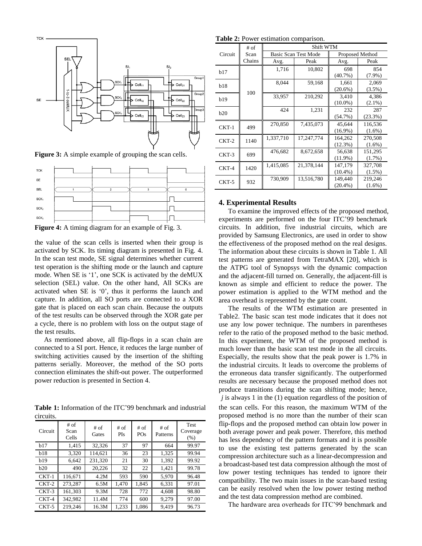

Figure 3: A simple example of grouping the scan cells.



**Figure 4:** A timing diagram for an example of Fig. 3.

the value of the scan cells is inserted when their group is activated by SCK. Its timing diagram is presented in Fig. 4. In the scan test mode, SE signal determines whether current test operation is the shifting mode or the launch and capture mode. When SE is '1', one SCK is activated by the deMUX selection (SEL) value. On the other hand, All SCKs are activated when SE is '0', thus it performs the launch and capture. In addition, all SO ports are connected to a XOR gate that is placed on each scan chain. Because the outputs of the test results can be observed through the XOR gate per a cycle, there is no problem with loss on the output stage of the test results.

As mentioned above, all flip-flops in a scan chain are connected to a SI port. Hence, it reduces the large number of switching activities caused by the insertion of the shifting patterns serially. Moreover, the method of the SO ports connection eliminates the shift-out power. The outperformed power reduction is presented in Section 4.

**Table 1:** Information of the ITC'99 benchmark and industrial circuits.

| Circuit | $#$ of<br>Scan<br>Cells | $#$ of<br>$#$ of<br>$#$ of<br>PO <sub>s</sub><br>PIs<br>Gates |       | $#$ of<br>Patterns | Test<br>Coverage<br>$(\% )$ |       |
|---------|-------------------------|---------------------------------------------------------------|-------|--------------------|-----------------------------|-------|
| h17     | 1,415                   | 32,326                                                        | 37    | 97                 | 664                         | 99.97 |
| b18     | 3,320                   | 114,621                                                       | 36    | 23                 | 1,325                       | 99.94 |
| b19     | 6.642                   | 231,320                                                       | 21    | 30                 | 1,392                       | 99.92 |
| b20     | 490                     | 20,226                                                        | 32    | 22                 | 1,421                       | 99.78 |
| $CKT-1$ | 116.671                 | 4.2M                                                          | 593   | 590                | 5,970                       | 96.48 |
| $CKT-2$ | 273,287                 | 6.5M                                                          | 1,470 | 1,845              | 6,331                       | 97.01 |
| $CKT-3$ | 161,303                 | 9.3M                                                          | 728   | 772                | 4,608                       | 98.80 |
| $CKT-4$ | 342,982                 | 11.4M                                                         | 774   | 600                | 9,279                       | 97.00 |
| $CKT-5$ | 219.246                 | 16.3M                                                         | 1,233 | 1,086              | 9.419                       | 96.73 |

**Table 2:** Power estimation comparison.

|         | $#$ of | Shift WTM |                             |                 |           |  |  |
|---------|--------|-----------|-----------------------------|-----------------|-----------|--|--|
| Circuit | Scan   |           | <b>Basic Scan Test Mode</b> | Proposed Method |           |  |  |
|         | Chains | Avg.      | Peak                        | Avg.            | Peak      |  |  |
| b17     |        | 1,716     | 10,802                      | 698             | 854       |  |  |
|         |        |           |                             | $(40.7\%)$      | $(7.9\%)$ |  |  |
| b18     |        | 8,044     | 59,168                      | 1,661           | 2,069     |  |  |
|         | 100    |           |                             | $(20.6\%)$      | $(3.5\%)$ |  |  |
| b19     |        | 33,957    | 210,292                     | 3,410           | 4,386     |  |  |
|         |        |           |                             | $(10.0\%)$      | $(2.1\%)$ |  |  |
| b20     |        | 424       | 1,231                       | 232             | 287       |  |  |
|         |        |           |                             | (54.7%)         | (23.3%)   |  |  |
| $CKT-1$ | 499    | 270,850   | 7,435,073                   | 45,644          | 116,536   |  |  |
|         |        |           |                             | $(16.9\%)$      | $(1.6\%)$ |  |  |
| $CKT-2$ | 1140   | 1,337,710 | 17,247,774                  | 164,262         | 270,508   |  |  |
|         |        |           |                             | $(12.3\%)$      | $(1.6\%)$ |  |  |
| $CKT-3$ | 699    | 476,682   | 8,672,658                   | 56,638          | 151,295   |  |  |
|         |        |           |                             | $(11.9\%)$      | $(1.7\%)$ |  |  |
| CKT-4   | 1420   | 1,415,085 | 21,378,144                  | 147,179         | 327,708   |  |  |
|         |        |           |                             | $(10.4\%)$      | $(1.5\%)$ |  |  |
| $CKT-5$ | 932    | 730,909   | 13,516,780                  | 149,440         | 219,246   |  |  |
|         |        |           |                             | $(20.4\%)$      | $(1.6\%)$ |  |  |

#### **4. Experimental Results**

To examine the improved effects of the proposed method, experiments are performed on the four ITC'99 benchmark circuits. In addition, five industrial circuits, which are provided by Samsung Electronics, are used in order to show the effectiveness of the proposed method on the real designs. The information about these circuits is shown in Table 1. All test patterns are generated from TetraMAX [20], which is the ATPG tool of Synopsys with the dynamic compaction and the adjacent-fill turned on. Generally, the adjacent-fill is known as simple and efficient to reduce the power. The power estimation is applied to the WTM method and the area overhead is represented by the gate count.

The results of the WTM estimation are presented in Table2. The basic scan test mode indicates that it does not use any low power technique. The numbers in parentheses refer to the ratio of the proposed method to the basic method. In this experiment, the WTM of the proposed method is much lower than the basic scan test mode in the all circuits. Especially, the results show that the peak power is 1.7% in the industrial circuits. It leads to overcome the problems of the erroneous data transfer significantly. The outperformed results are necessary because the proposed method does not produce transitions during the scan shifting mode; hence, *j* is always 1 in the (1) equation regardless of the position of the scan cells. For this reason, the maximum WTM of the proposed method is no more than the number of their scan flip-flops and the proposed method can obtain low power in both average power and peak power. Therefore, this method has less dependency of the pattern formats and it is possible to use the existing test patterns generated by the scan compression architecture such as a linear-decompression and a broadcast-based test data compression although the most of low power testing techniques has tended to ignore their compatibility. The two main issues in the scan-based testing can be easily resolved when the low power testing method and the test data compression method are combined.

The hardware area overheads for ITC'99 benchmark and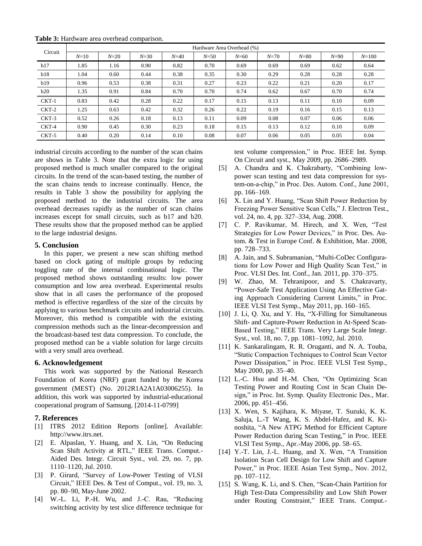| Circuit | Hardware Area Overhead (%) |        |          |        |          |          |          |          |          |           |
|---------|----------------------------|--------|----------|--------|----------|----------|----------|----------|----------|-----------|
|         | $N=10$                     | $N=20$ | $N = 30$ | $N=40$ | $N = 50$ | $N = 60$ | $N = 70$ | $N = 80$ | $N = 90$ | $N = 100$ |
| b17     | 1.85                       | 1.16   | 0.90     | 0.82   | 0.70     | 0.69     | 0.69     | 0.69     | 0.62     | 0.64      |
| b18     | 1.04                       | 0.60   | 0.44     | 0.38   | 0.35     | 0.30     | 0.29     | 0.28     | 0.28     | 0.28      |
| b19     | 0.96                       | 0.53   | 0.38     | 0.31   | 0.27     | 0.23     | 0.22     | 0.21     | 0.20     | 0.17      |
| b20     | 1.35                       | 0.91   | 0.84     | 0.70   | 0.70     | 0.74     | 0.62     | 0.67     | 0.70     | 0.74      |
| $CKT-1$ | 0.83                       | 0.42   | 0.28     | 0.22   | 0.17     | 0.15     | 0.13     | 0.11     | 0.10     | 0.09      |
| $CKT-2$ | 1.25                       | 0.63   | 0.42     | 0.32   | 0.26     | 0.22     | 0.19     | 0.16     | 0.15     | 0.13      |
| $CKT-3$ | 0.52                       | 0.26   | 0.18     | 0.13   | 0.11     | 0.09     | 0.08     | 0.07     | 0.06     | 0.06      |
| CKT-4   | 0.90                       | 0.45   | 0.30     | 0.23   | 0.18     | 0.15     | 0.13     | 0.12     | 0.10     | 0.09      |
| $CKT-5$ | 0.40                       | 0.20   | 0.14     | 0.10   | 0.08     | 0.07     | 0.06     | 0.05     | 0.05     | 0.04      |

**Table 3:** Hardware area overhead comparison.

industrial circuits according to the number of the scan chains are shows in Table 3. Note that the extra logic for using proposed method is much smaller compared to the original circuits. In the trend of the scan-based testing, the number of the scan chains tends to increase continually. Hence, the results in Table 3 show the possibility for applying the proposed method to the industrial circuits. The area overhead decreases rapidly as the number of scan chains increases except for small circuits, such as b17 and b20. These results show that the proposed method can be applied to the large industrial designs.

### **5. Conclusion**

In this paper, we present a new scan shifting method based on clock gating of multiple groups by reducing toggling rate of the internal combinational logic. The proposed method shows outstanding results: low power consumption and low area overhead. Experimental results show that in all cases the performance of the proposed method is effective regardless of the size of the circuits by applying to various benchmark circuits and industrial circuits. Moreover, this method is compatible with the existing compression methods such as the linear-decompression and the broadcast-based test data compression. To conclude, the proposed method can be a viable solution for large circuits with a very small area overhead.

### **6. Acknowledgement**

This work was supported by the National Research Foundation of Korea (NRF) grant funded by the Korea government (MEST) (No. 2012R1A2A1A03006255). In addition, this work was supported by industrial-educational cooperational program of Samsung. [2014-11-0799]

### **7. References**

- [1] ITRS 2012 Edition Reports [online]. Available: http://www.itrs.net.
- [2] E. Alpaslan, Y. Huang, and X. Lin, "On Reducing Scan Shift Activity at RTL," IEEE Trans. Comput.- Aided Des. Integr. Circuit Syst., vol. 29, no. 7, pp. 1110–1120, Jul. 2010.
- [3] P. Girard, "Survey of Low-Power Testing of VLSI Circuit," IEEE Des. & Test of Comput., vol. 19, no. 3, pp. 80–90, May-June 2002.
- [4] W.-L. Li, P.-H. Wu, and J.-C. Rau, "Reducing switching activity by test slice difference technique for

test volume compression," in Proc. IEEE Int. Symp. On Circuit and syst., May 2009, pp. 2686–2989.

- [5] A. Chandra and K. Chakrabarty, "Combining lowpower scan testing and test data compression for system-on-a-chip," in Proc. Des. Autom. Conf., June 2001, pp. 166–169.
- [6] X. Lin and Y. Huang, "Scan Shift Power Reduction by Freezing Power Sensitive Scan Cells," J. Electron Test., vol. 24, no. 4, pp. 327–334, Aug. 2008.
- [7] C. P. Ravikumar, M. Hirech, and X. Wen, "Test Strategies for Low Power Devices," in Proc. Des. Autom. & Test in Europe Conf. & Exhibition, Mar. 2008, pp. 728–733.
- [8] A. Jain, and S. Subramanian, "Multi-CoDec Configurations for Low Power and High Quality Scan Test," in Proc. VLSI Des. Int. Conf., Jan. 2011, pp. 370–375.
- [9] W. Zhao, M. Tehranipoor, and S. Chakravarty, "Power-Safe Test Application Using An Effective Gating Approach Considering Current Limits," in Proc. IEEE VLSI Test Symp., May 2011, pp. 160–165.
- [10] J. Li, Q. Xu, and Y. Hu, "X-Filling for Simultaneous Shift- and Capture-Power Reduction in At-Speed Scan-Based Testing," IEEE Trans. Very Large Scale Integr. Syst., vol. 18, no. 7, pp. 1081–1092, Jul. 2010.
- [11] K. Sankaralingam, R. R. Oruganti, and N. A. Touba, "Static Compaction Techniques to Control Scan Vector Power Dissipation," in Proc. IEEE VLSI Test Symp., May 2000, pp. 35–40.
- [12] L.-C. Hsu and H.-M. Chen, "On Optimizing Scan Testing Power and Routing Cost in Scan Chain Design," in Proc. Int. Symp. Quality Electronic Des., Mar. 2006, pp. 451–456.
- [13] X. Wen, S. Kajihara, K. Miyase, T. Suzuki, K. K. Saluja, L.-T Wang, K. S. Abdel-Hafez, and K. Kinoshita, "A New ATPG Method for Efficient Capture Power Reduction during Scan Testing," in Proc. IEEE VLSI Test Symp., Apr.-May 2006, pp. 58–65.
- [14] Y.-T. Lin, J.-L. Huang, and X. Wen, "A Transition Isolation Scan Cell Design for Low Shift and Capture Power," in Proc. IEEE Asian Test Symp., Nov. 2012, pp. 107–112.
- [15] S. Wang, K. Li, and S. Chen, "Scan-Chain Partition for High Test-Data Compressibility and Low Shift Power under Routing Constraint," IEEE Trans. Comput.-